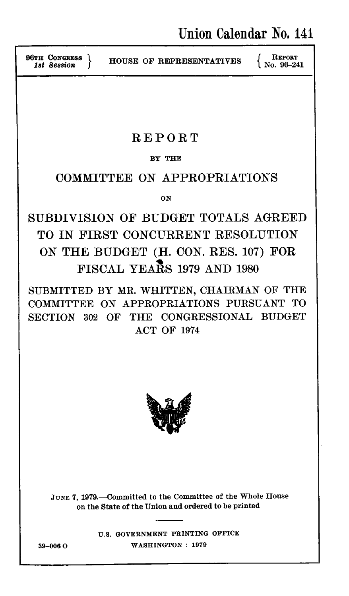**96TH CONGRESS**

**HOUSE OF REPRESENTATIVES**  $\left\{\begin{array}{c} \text{REPORT} \\ \text{No. } 96-241 \end{array}\right\}$ 

# REPORT

## BY **THE**

# COMMITTEE **ON** APPROPRIATIONS

**ON**

SUBDIVISION OF **BUDGET TOTALS** AGREED TO IN FIRST **CONCURRENT** RESOLUTION **ON** THE **BUDGET (H. CON.** RES. **107)** FOR FISCAL YEARS **1979 AND 1980**

SUBMITTED BY MR. WHITTEN, CHAIRMAN OF THE COMMITTEE ON APPROPRIATIONS PURSUANT TO SECTION **302** OF THE CONGRESSIONAL BUDGET ACT OF 1974



JUNE 7, 1979.--Committed to the Committee of the Whole House on the State of the Union and ordered to be printed

**U.S. GOVERNMENT** PRINTING **OFFICE 39-0060 WASHINGTON : 1979**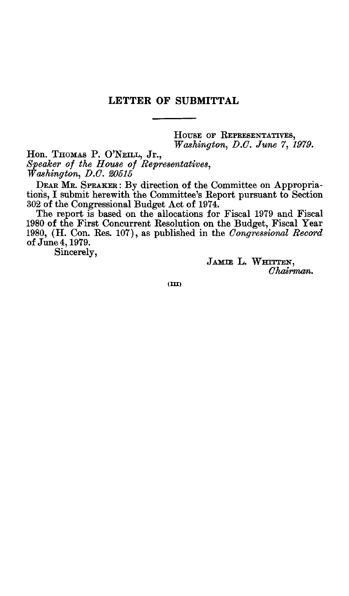### **LETTER OF SUBMITTAL**

HOUSE OF REPRESENTATIVES,<br>Washington, D.C. June 7, 1979. *Washington, D.C. June 7, 1979. Washington, D.C. June 7, 1979.* 

*Speaker of the House of Representatives, Washington, D.C. 20515*

**DEAR** MR. SPEAKER: By direction of the Committee on Appropriationis, I submit herewith the Committee's Report pursuant to Section 302 of the Congressional Budget Act of 1974.

The report is based on the allocations for Fiscal 1979 and Fiscal 1980 of the First Concurrent Resolution on the Budget, Fiscal Year 1980, (H. Con. Res. 107), as published in the *Congressional Record* of June 4,1979.

Sincerely,

**JAMIE L. WHITTEN,** *Chairman.*

**(M)**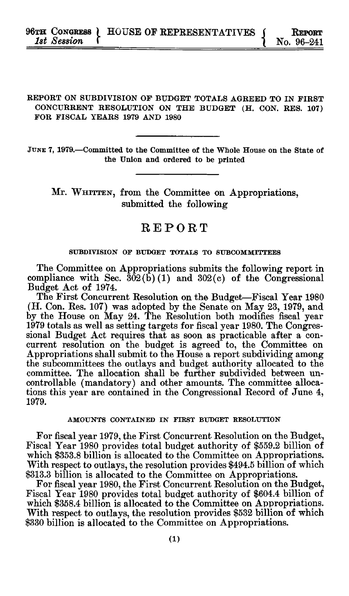#### REPORT **ON** SUBDIVISION **OF BUDGET TOTALS** AGREED TO **IN** FIRST **CONCURRENT** RESOLUTION **ON** THE **BUDGET** (H. **CON.** RES. **107)** FOR FISCAL YEARS **1979 AND 1980**

JUNE 7, 1979.—Committed to the Committee of the Whole House on the State of the Union and ordered to be printed

Mr. **WHITTEN,** from the Committee on Appropriations, submitted the following

# REPORT

### **SUBDIVISION OF BUDGET TOTALS TO SUBCOMMITTEES**

The Committee on Appropriations submits the following report in compliance with Sec.  $302(b)(1)$  and  $302(c)$  of the Congressional Budget Act of 1974.

The First Concurrent Resolution on the Budget-Fiscal Year **1980** (H. Con. Res. **107)** was adopted **by** the Senate on May **23, 1979,** and **by** the House on May 24. The Resolution both modifies fiscal year **1979** totals as well as setting targets for fiscal year **1980.** The Congressional Budget Act requires that as soon as practicable after a concurrent resolution on the budget is agreed to, the Committee on Appropriations shall submit to the House a report subdividing among the subcommittees the outlays and budget authority allocated to the committee. The allocation shall be further subdivided between uncontrollable (mandatory) and other amounts. The committee allocations this year are contained in the Congressional Record of June 4, **1979.**

#### **AMOUNTS CONTAINED IN FIRST BUDGET RESOLUTION**

For fiscal year **1979,** the First Concurrent Resolution on the Budget, Fiscal Year **1980** provides total budget authority of **\$559.2** billion of which **\$353.8** billion is allocated to the Committee on Appropriations. With respect to outlays, the resolution provides \$494.5 billion **of** which **\$313.3** billion is allocated to the Committee on Appropriations.

For fiscal year **1980,** the First Concurrent Resolution on the Budget, Fiscal Year **1980** provides total budget authority of \$604.4 billion of which **\$358.4** billion is allocated to the Committee on Appropriations. With respect to outlays, the resolution provides **\$532** billion of which **\$330** billion is allocated to the Committee on Appropriations.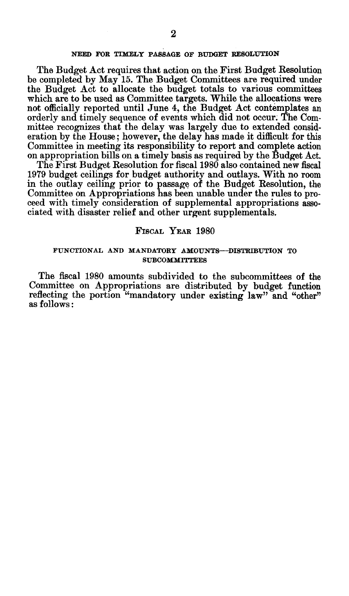#### **NEED FOR TIMELY PASSAGE OF BUDGET RESOLUTION**

The Budget Act requires that action on the First Budget Resolution be completed **by** May **15.** The Budget Committees are required under the Budget Act to allocate the budget totals to various committees which are to be used as Committee targets. **While** the allocations were not officially reported until June 4, the Budget Act contemplates an orderly and timely sequence of events which did not occur. The Committee recognizes that the delay was largely due to extended consideration **by** the House; however, the delay has made it difficult for this Committee in meeting its responsibility to report and complete action on appropriation bills on a timely basis as required **by** the Budget Act.

The First Budget Resolution for fiscal **1980** also contained new fiscal **1979** budget ceilings for budget authority and outlays. With no room in the outlay ceiling prior to passage of the Budget Resolution, the Committee on Appropriations has been unable under the rules to proceed with timely consideration of supplemental appropriations associated with disaster relief and other urgent supplementals.

#### **FISCAL YEAR** 1980

#### **FUNCTIONAL AND MANDATORY AMOUNTS-DISTRIBUTION TO SUBCOMMITTEES**

The fiscal **1980 amounts** subdivided **to** the subcommittees of the **Committee on Appropriations are** distributed **by** budget **function** reflecting the portion "mandatory under existing law" and "other" as follows: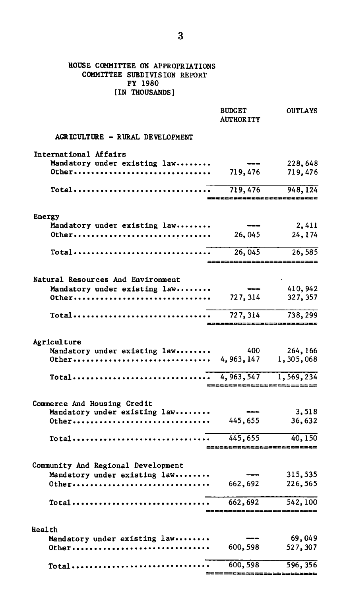#### **HOUSE** COMMITTEE **ON** APPROPRIATIONS COMMITTEE SUBDIVISION REPORT **FY 1980** (IN **THOUSANDS]**

|                                                                           | <b>BUDGET</b><br><b>AUTHORITY</b> | <b>OUTLAYS</b>             |
|---------------------------------------------------------------------------|-----------------------------------|----------------------------|
| AGRICULTURE - RURAL DEVELOPMENT                                           |                                   |                            |
| International Affairs                                                     |                                   |                            |
| Mandatory under existing law                                              |                                   | 228,648                    |
| 0ther                                                                     | 719,476                           | 719,476                    |
| Total                                                                     | 719,476                           | 948, 124                   |
|                                                                           |                                   |                            |
| Energy                                                                    |                                   |                            |
| Mandatory under existing law                                              |                                   | 2,411                      |
| 0ther                                                                     | 26,045                            | 24,174                     |
| Total                                                                     | 26,045                            | 26,585                     |
|                                                                           |                                   | ===================        |
| Natural Resources And Environment                                         |                                   |                            |
| Mandatory under existing law                                              |                                   | 410,942                    |
| 0ther                                                                     | 727, 314                          | 327, 357                   |
| Total                                                                     | 727, 314                          | 738,299                    |
|                                                                           |                                   | $= 10$                     |
| Agriculture                                                               |                                   |                            |
| Mandatory under existing law                                              | 400                               | 264, 166                   |
|                                                                           |                                   | 1,305,068                  |
| $Total \dots \dots \dots \dots \dots \dots \dots \dots \dots \dots \dots$ | 4,963,547                         | 1,569,234                  |
|                                                                           |                                   |                            |
| Commerce And Housing Credit                                               |                                   |                            |
| Mandatory under existing law                                              |                                   | 3,518                      |
| 0ther                                                                     | 445,655                           | 36,632                     |
| Total                                                                     | 445,655                           | 40, 150                    |
|                                                                           |                                   | =========================  |
| Community And Regional Development                                        |                                   |                            |
| Mandatory under existing law                                              |                                   | 315,535                    |
| 0ther                                                                     | 662,692                           | 226,565                    |
| Total                                                                     | 662,692                           | 542,100                    |
|                                                                           |                                   | ========================== |
| Health                                                                    |                                   |                            |
| Mandatory under existing law                                              |                                   | 69,049                     |
| 0ther                                                                     | 600,598                           | 527,307                    |
|                                                                           | 600,598                           | 596, 356                   |
|                                                                           |                                   |                            |

=========================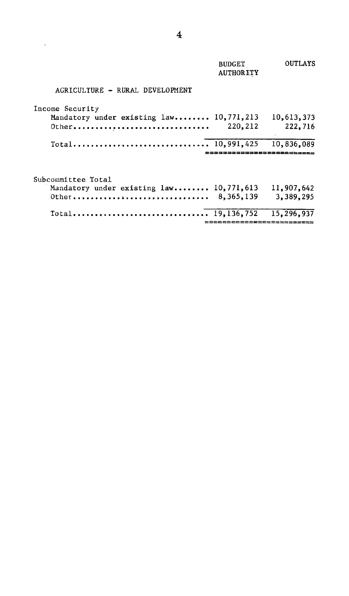|                                                                           | <b>BUDGET</b><br><b>AUTHORITY</b> | OUTLAYS                 |
|---------------------------------------------------------------------------|-----------------------------------|-------------------------|
| AGRICULTURE - RURAL DEVELOPMENT                                           |                                   |                         |
| Income Security<br>Mandatory under existing law 10,771,213<br>$0$ ther    | 220,212                           | 10,613,373<br>222,716   |
| Total 10,991,425                                                          |                                   | 10,836,089              |
| Subcommittee Total<br>Mandatory under existing law 10,771,613<br>$0$ ther | 8,365,139                         | 11,907,642<br>3,389,295 |
| Total 19.136.752                                                          | ======================            | 15,296,937              |

 $\mathcal{L}^{\text{max}}_{\text{max}}$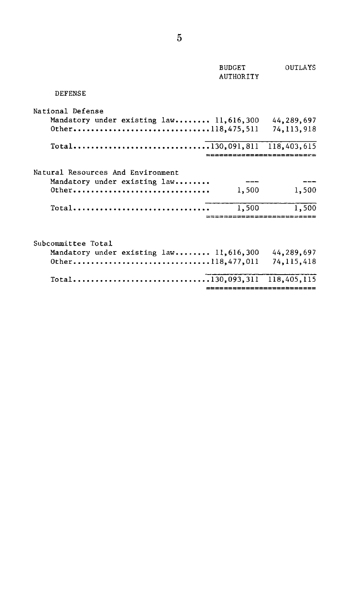|                                                                                     | <b>BUDGET</b><br><b>AUTHORITY</b> | OUTLAYS                    |
|-------------------------------------------------------------------------------------|-----------------------------------|----------------------------|
| <b>DEFENSE</b>                                                                      |                                   |                            |
| National Defense<br>Mandatory under existing law 11,616,300<br>0ther118,475,511     |                                   | 44,289,697<br>74, 113, 918 |
|                                                                                     |                                   |                            |
| Natural Resources And Environment<br>Mandatory under existing law<br>0ther<br>Total | 1,500<br>1,500                    | 1,500<br>1,500             |
| Subcommittee Total<br>Mandatory under existing law 11,616,300<br>0ther118,477,011   |                                   | 44,289,697<br>74, 115, 418 |
|                                                                                     | ==========================        |                            |
|                                                                                     |                                   |                            |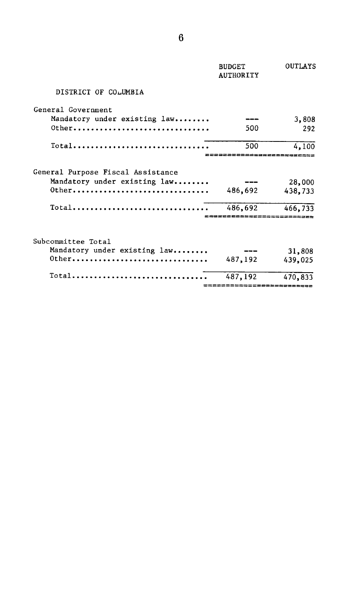|                                                                        | <b>BUDGET</b><br><b>AUTHORITY</b> | OUTLAYS   |
|------------------------------------------------------------------------|-----------------------------------|-----------|
| DISTRICT OF COLUMBIA                                                   |                                   |           |
| General Government                                                     |                                   |           |
| Mandatory under existing law                                           |                                   | 3,808     |
| Other                                                                  | 500                               | 292       |
| Total                                                                  | 500                               | 4.100     |
| General Purpose Fiscal Assistance                                      |                                   |           |
| Mandatory under existing law                                           |                                   | 28,000    |
| $0$ ther                                                               | 486,692                           | 438,733   |
| $Total$                                                                | 486,692                           | 466.733   |
|                                                                        |                                   |           |
| Subcommittee Total                                                     |                                   |           |
| Mandatory under existing law                                           |                                   | 31,808    |
| 0ther                                                                  | 487,192                           | 439,025   |
| $Total \ldots \ldots \ldots \ldots \ldots \ldots \ldots \ldots \ldots$ | 487,192                           | 470,833   |
|                                                                        |                                   | --------- |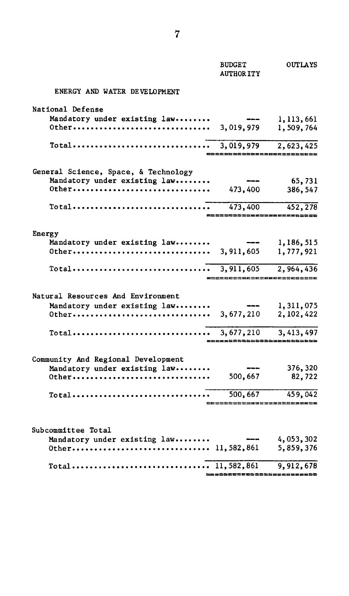|                                                                           | <b>BUDGET</b><br><b>AUTHOR ITY</b> | <b>OUTLAYS</b>               |
|---------------------------------------------------------------------------|------------------------------------|------------------------------|
| ENERGY AND WATER DEVELOPMENT                                              |                                    |                              |
| National Defense                                                          |                                    |                              |
| Mandatory under existing law                                              | $-$                                | 1,113,661                    |
| 0ther                                                                     | 3,019,979                          | 1,509,764                    |
| Total                                                                     | 3,019,979                          | 2,623,425                    |
|                                                                           |                                    |                              |
| General Science, Space, & Technology                                      |                                    |                              |
| Mandatory under existing law                                              |                                    | 65,731                       |
| 0ther                                                                     | 473,400                            | 386, 547                     |
|                                                                           | 473,400                            | 452,278                      |
|                                                                           |                                    | ,,,,,,,,,,,,,,,,,,,,,        |
| Energy                                                                    |                                    |                              |
| Mandatory under existing law                                              |                                    | 1,186,515                    |
|                                                                           |                                    | 1,777,921                    |
|                                                                           |                                    |                              |
|                                                                           |                                    | ____________________________ |
| Natural Resources And Environment                                         |                                    |                              |
| Mandatory under existing law                                              | ---                                | 1,311,075                    |
|                                                                           |                                    | 2,102,422                    |
| Total                                                                     | 3,677,210                          | 3, 413, 497                  |
|                                                                           |                                    |                              |
| Community And Regional Development                                        |                                    |                              |
| Mandatory under existing law                                              |                                    | 376,320                      |
| 0ther                                                                     | 500,667                            | 82,722                       |
| $Total \dots \dots \dots \dots \dots \dots \dots \dots \dots \dots \dots$ | 500,667                            | 459,042                      |
|                                                                           |                                    |                              |
|                                                                           |                                    |                              |
| Subcommittee Total<br>Mandatory under existing law                        |                                    | 4,053,302                    |
|                                                                           |                                    | 5,859,376                    |
|                                                                           |                                    |                              |
|                                                                           |                                    | 9,912,678                    |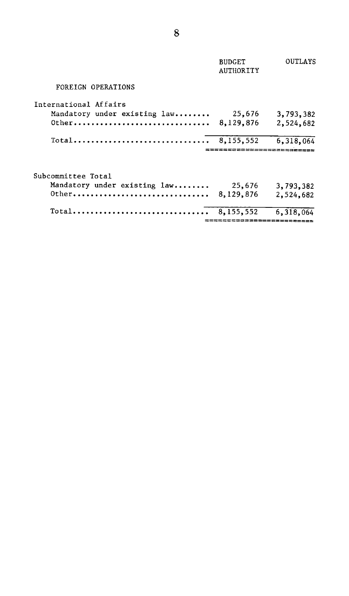|                              | <b>BUDGET</b><br><b>AUTHORITY</b> | OUTLAYS                            |
|------------------------------|-----------------------------------|------------------------------------|
| FOREIGN OPERATIONS           |                                   |                                    |
| International Affairs        |                                   |                                    |
| Mandatory under existing law | 25,676                            | 3,793,382                          |
| Other                        | 8,129,876                         | 2,524,682                          |
| Total                        | 8.155.552                         | 6,318,064<br>;==================== |
|                              |                                   |                                    |
| Subcommittee Total           |                                   |                                    |
| Mandatory under existing law | 25,676                            | 3,793,382                          |
| 0ther                        | 8,129,876                         | 2,524,682                          |
| Total                        | 8.155.552                         | 6,318,064                          |
|                              |                                   |                                    |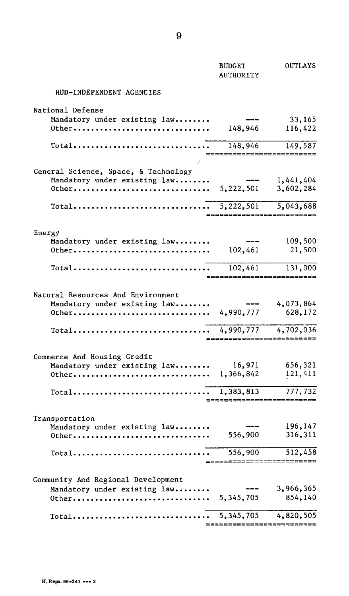|                                                                        | <b>BUDGET</b><br>AUTHORITY                              | OUTLAYS                         |
|------------------------------------------------------------------------|---------------------------------------------------------|---------------------------------|
| HUD-INDEPENDENT AGENCIES                                               |                                                         |                                 |
| National Defense                                                       |                                                         |                                 |
| Mandatory under existing law                                           |                                                         | 33,165                          |
| 0ther                                                                  | 148,946                                                 | 116,422                         |
| $Total $                                                               | 148,946                                                 | 149,587<br>==================== |
|                                                                        |                                                         |                                 |
| General Science, Space, & Technology                                   |                                                         |                                 |
| Mandatory under existing law                                           |                                                         | 1,441,404                       |
|                                                                        |                                                         | 3,602,284                       |
| Total                                                                  | $\overline{5,222,501}$<br>_____________________________ | 5,043,688                       |
|                                                                        |                                                         |                                 |
| Energy<br>Mandatory under existing law                                 |                                                         | 109,500                         |
| 0ther                                                                  | 102,461                                                 | 21,500                          |
|                                                                        |                                                         |                                 |
| $Total \ldots \ldots \ldots \ldots \ldots \ldots \ldots \ldots \ldots$ | 102,461                                                 | 131,000                         |
|                                                                        | ===========================                             |                                 |
| Natural Resources And Environment                                      |                                                         |                                 |
| Mandatory under existing law                                           |                                                         | 4,073,864                       |
| Other 4,990,777                                                        |                                                         | 628,172                         |
|                                                                        |                                                         |                                 |
| Total                                                                  | 4,990,777<br>=========================                  | 4,702,036                       |
|                                                                        |                                                         |                                 |
| Commerce And Housing Credit                                            |                                                         |                                 |
| Mandatory under existing law                                           | 16,971                                                  | 656,321                         |
|                                                                        |                                                         | 121,411                         |
| Total                                                                  | 1,383,813                                               | 777,732                         |
|                                                                        |                                                         | ----------------------          |
| Transportation                                                         |                                                         |                                 |
| Mandatory under existing law                                           |                                                         | 196,147                         |
| 0ther                                                                  | 556,900                                                 | 316,311                         |
| $Total$                                                                | 556,900                                                 | 512,458                         |
|                                                                        | $= = = = =$                                             | ;==================             |
| Community And Regional Development                                     |                                                         |                                 |
| Mandatory under existing law                                           |                                                         | 3,966,365                       |
|                                                                        |                                                         | 854,140                         |
| Total                                                                  | 5,345,705                                               | 4,820,505                       |
|                                                                        |                                                         |                                 |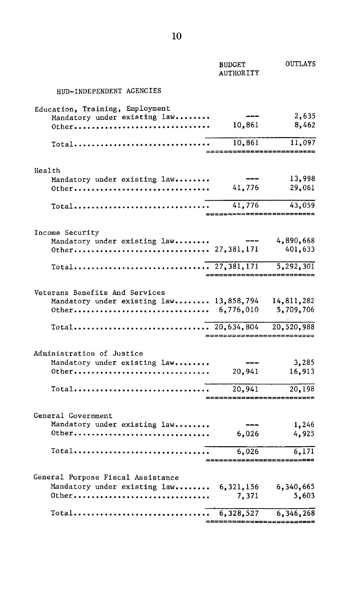|                                                                           | <b>BUDGET</b><br><b>AUTHORITY</b>   | OUTLAYS                               |
|---------------------------------------------------------------------------|-------------------------------------|---------------------------------------|
| HUD-INDEPENDENT AGENCIES                                                  |                                     |                                       |
| Education, Training, Employment                                           |                                     | 2,635                                 |
| Mandatory under existing law<br>0ther                                     | 10,861                              | 8,462                                 |
| Total                                                                     | 10,861<br>========================= | 11,097                                |
| Health                                                                    |                                     |                                       |
| Mandatory under existing law<br>0ther                                     | 41,776                              | 13,998<br>29,061                      |
|                                                                           | 41,776<br>===============           | 43,059<br>;========                   |
| Income Security                                                           |                                     |                                       |
| Mandatory under existing law<br>Other 27,381,171                          |                                     | 4,890,668<br>401,633                  |
|                                                                           |                                     | $\overline{5, 292, 301}$<br>========= |
| Veterans Benefits And Services                                            |                                     |                                       |
| Mandatory under existing law 13,858,794                                   |                                     | 14,811,282<br>5,709,706               |
|                                                                           | ==========================          | 20,520,988                            |
| Administration of Justice                                                 |                                     |                                       |
| Mandatory under existing law<br>0ther                                     | 20,941                              | 3,285<br>16,913                       |
| $Total \dots \dots \dots \dots \dots \dots \dots \dots \dots \dots \dots$ | 20,941                              | 20,198<br>==================          |
| General Government                                                        |                                     |                                       |
| Mandatory under existing law<br>0ther                                     | 6,026                               | 1,246<br>4,925                        |
|                                                                           | 6,026                               | 6,171<br>;======================      |
| General Purpose Fiscal Assistance                                         |                                     |                                       |
| Mandatory under existing law 6,321,156<br>0ther                           | 7,371                               | 6,340,665<br>5,603                    |
|                                                                           |                                     | 6,346,268                             |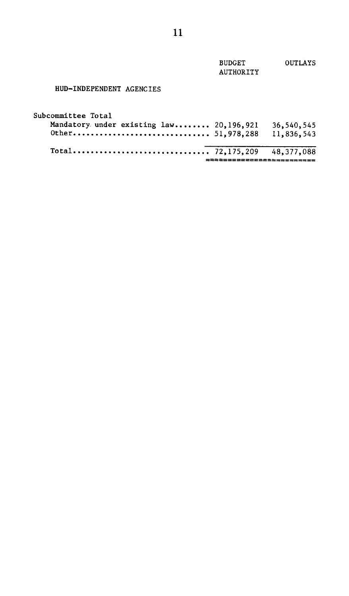| <b>BUDGET</b>    | <b>OUTLAYS</b> |
|------------------|----------------|
| <b>AUTHORITY</b> |                |
|                  |                |

## HUD-INDEPENDENT AGENCIES

| 11,836,543 |
|------------|
| 36,540,545 |
|            |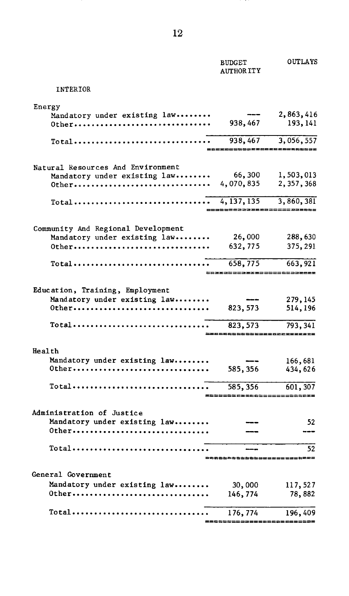|                                                                     | <b>BUDGET</b><br><b>AUTHOR ITY</b> | <b>OUTLAYS</b>                    |
|---------------------------------------------------------------------|------------------------------------|-----------------------------------|
| INTERIOR                                                            |                                    |                                   |
| Energy                                                              |                                    |                                   |
| Mandatory under existing law                                        |                                    | 2,863,416                         |
| Other                                                               | 938,467                            | 193, 141                          |
| Total                                                               | 938,467                            | 3,056,557<br>;=================== |
|                                                                     |                                    |                                   |
| Natural Resources And Environment                                   | 66,300                             | 1,503,013                         |
| Mandatory under existing law<br>0ther                               | 4,070,835                          | 2, 357, 368                       |
|                                                                     |                                    |                                   |
| Total                                                               | 4, 137, 135                        | 3,860,381                         |
|                                                                     |                                    |                                   |
| Community And Regional Development                                  |                                    |                                   |
| Mandatory under existing law                                        | 26,000                             | 288,630                           |
| Other                                                               | 632,775                            | 375, 291                          |
| Total                                                               | 658,775                            | 663,921                           |
|                                                                     |                                    |                                   |
| Education, Training, Employment                                     |                                    |                                   |
| Mandatory under existing law                                        |                                    | 279, 145                          |
| 0ther                                                               | 823, 573                           | 514,196                           |
| $Total \dots \dots \dots \dots \dots \dots \dots \dots \dots \dots$ | 823, 573                           | 793, 341                          |
|                                                                     |                                    |                                   |
| Health                                                              |                                    |                                   |
| Mandatory under existing law                                        |                                    | 166,681                           |
| 0ther                                                               | 585,356                            | 434,626                           |
| Total                                                               | 585,356                            | 601,307                           |
|                                                                     |                                    |                                   |
| Administration of Justice                                           |                                    |                                   |
| Mandatory under existing law                                        |                                    | 52                                |
| 0ther                                                               |                                    |                                   |
| Total                                                               |                                    | 52                                |
|                                                                     |                                    | zzzerz                            |
| General Government                                                  |                                    |                                   |
| Mandatory under existing law                                        | 30,000                             | 117,527                           |
| 0ther                                                               | 146,774                            | 78,882                            |
|                                                                     |                                    |                                   |
| Total                                                               | 176, 774                           | 196,409                           |
|                                                                     |                                    |                                   |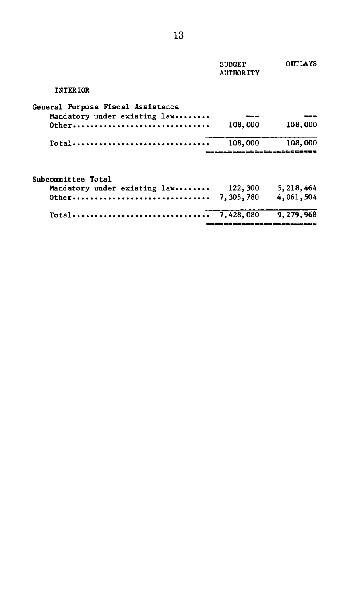|                                                                            | <b>BUDGET</b><br><b>AUTHORITY</b> | <b>OUTLAYS</b> |
|----------------------------------------------------------------------------|-----------------------------------|----------------|
| <b>INTERIOR</b>                                                            |                                   |                |
| General Purpose Fiscal Assistance<br>Mandatory under existing law<br>Other | 108,000                           | 108,000        |
| Total                                                                      | 108,000<br>==================     | 108,000        |
| Subcommittee Total<br>Mandatory under existing law                         | 122,300                           | 5,218,464      |
|                                                                            |                                   | 4.061,504      |
| $Total \dots \dots \dots \dots \dots \dots \dots \dots \dots \dots \dots$  | 7,428,080                         | 9.279.968      |
|                                                                            | &&&&&&&&&&&&&&&&&&&&&&&           |                |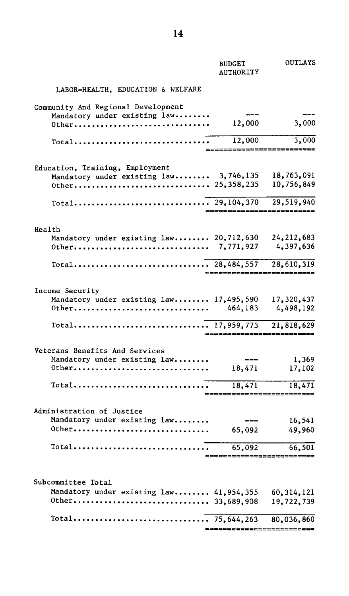|                                                                           | <b>BUDGET</b><br><b>AUTHORITY</b> | OUTLAYS                       |
|---------------------------------------------------------------------------|-----------------------------------|-------------------------------|
| LABOR-HEALTH, EDUCATION & WELFARE                                         |                                   |                               |
| Community And Regional Development                                        |                                   |                               |
| Mandatory under existing law                                              |                                   |                               |
| 0ther                                                                     | 12,000                            | 3,000                         |
| --<br>Total                                                               | 12,000                            | 3,000                         |
|                                                                           |                                   |                               |
| Education, Training, Employment<br>Mandatory under existing law 3,746,135 |                                   | 18,763,091                    |
|                                                                           |                                   | 10,756,849                    |
|                                                                           |                                   |                               |
|                                                                           |                                   | 29,519,940                    |
|                                                                           |                                   |                               |
| Health                                                                    |                                   |                               |
| Mandatory under existing law 20,712,630<br>0ther                          | 7,771,927                         | 24, 212, 683<br>4,397,636     |
|                                                                           |                                   |                               |
|                                                                           |                                   |                               |
|                                                                           |                                   | =========================     |
| Income Security                                                           |                                   |                               |
| Mandatory under existing law 17,495,590                                   |                                   | 17,320,437                    |
| 0ther                                                                     | 464,183                           | 4,498,192                     |
|                                                                           |                                   | 21,818,629                    |
|                                                                           | 2523222255555555555555            |                               |
| Veterans Benefits And Services                                            |                                   |                               |
| Mandatory under existing law                                              |                                   | 1,369                         |
| 0ther                                                                     | 18,471                            | 17,102                        |
|                                                                           | 18,471                            | 18,471                        |
|                                                                           |                                   | *************************     |
| Administration of Justice                                                 |                                   |                               |
| Mandatory under existing law                                              |                                   | 16,541                        |
| 0ther                                                                     | 65,092                            | 49,960                        |
|                                                                           | 65,092                            | 66,501                        |
|                                                                           |                                   | ---------------------------   |
|                                                                           |                                   |                               |
| Subcommittee Total                                                        |                                   |                               |
| Mandatory under existing law 41,954,355                                   |                                   | 60, 314, 121                  |
|                                                                           |                                   | 19,722,739                    |
|                                                                           |                                   | 80,036,860                    |
|                                                                           |                                   | _____________________________ |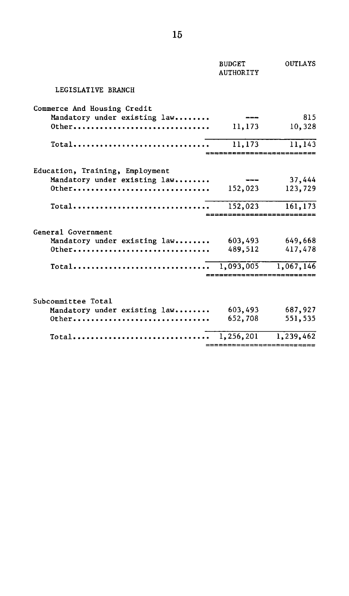|                                                          | <b>BUDGET</b><br><b>AUTHORITY</b> | <b>OUTLAYS</b> |
|----------------------------------------------------------|-----------------------------------|----------------|
| LEGISLATIVE BRANCH                                       |                                   |                |
| Commerce And Housing Credit                              |                                   |                |
| Mandatory under existing law                             |                                   | 815            |
| $0$ ther                                                 | 11,173                            | 10,328         |
| $Total \ldots \ldots \ldots \ldots \ldots \ldots \ldots$ | 11,173                            | 11,143         |
|                                                          |                                   |                |
| Education, Training, Employment                          |                                   |                |
| Mandatory under existing law                             |                                   | 37,444         |
| $0$ ther                                                 | 152,023                           | 123,729        |
| $Total$                                                  | 152,023                           | 161,173        |
|                                                          |                                   |                |
| General Government                                       |                                   |                |
| Mandatory under existing law                             | 603,493                           | 649.668        |
| $0$ ther                                                 | 489.512                           | 417,478        |
|                                                          |                                   |                |
|                                                          | ;===============                  |                |
| Subcommittee Total                                       |                                   |                |
| Mandatory under existing law                             | 603,493                           | 687,927        |
| $0$ ther                                                 | 652,708                           | 551,535        |
| Total                                                    | 1,256,201                         | 1,239,462      |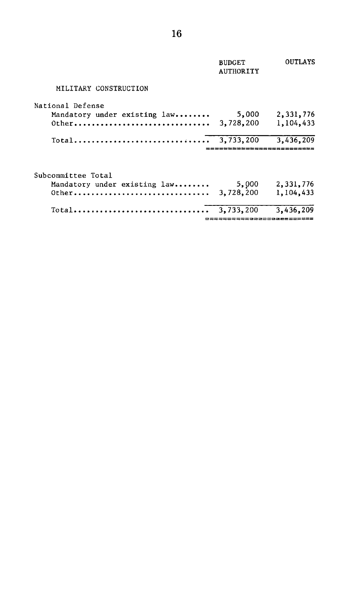|                                                                | <b>BUDGET</b><br>AUTHORITY      | <b>OUTLAYS</b>         |
|----------------------------------------------------------------|---------------------------------|------------------------|
| MILITARY CONSTRUCTION                                          |                                 |                        |
| National Defense<br>Mandatory under existing law<br>$0$ ther   | 5,000<br>3,728,200              | 2,331,776<br>1,104,433 |
| $Total$                                                        | 3,733,200<br>================== | 3,436,209              |
| Subcommittee Total<br>Mandatory under existing law<br>$0$ ther | 5,000<br>3,728,200              | 2,331,776<br>1,104,433 |
| Total                                                          | 3.733.200                       | 3.436.209              |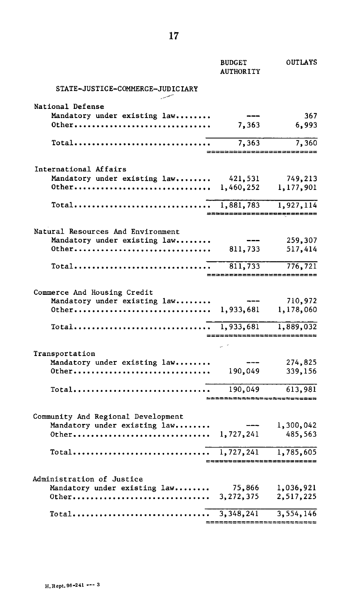|                                                                            | <b>BUDGET</b><br><b>AUTHORITY</b>                                                                                                                                                                                                                                                                                                                                                            | OUTLAYS                     |
|----------------------------------------------------------------------------|----------------------------------------------------------------------------------------------------------------------------------------------------------------------------------------------------------------------------------------------------------------------------------------------------------------------------------------------------------------------------------------------|-----------------------------|
| STATE-JUSTICE-COMMERCE-JUDICIARY                                           |                                                                                                                                                                                                                                                                                                                                                                                              |                             |
| National Defense                                                           |                                                                                                                                                                                                                                                                                                                                                                                              |                             |
| Mandatory under existing law                                               |                                                                                                                                                                                                                                                                                                                                                                                              | 367                         |
| 0ther                                                                      | 7,363                                                                                                                                                                                                                                                                                                                                                                                        | 6,993                       |
| $\text{Total} \dots \dots \dots \dots \dots \dots \dots \dots \dots \dots$ | 7,363                                                                                                                                                                                                                                                                                                                                                                                        | 7,360                       |
| $=$ $=$ $=$ $=$                                                            |                                                                                                                                                                                                                                                                                                                                                                                              | ==================          |
| International Affairs                                                      |                                                                                                                                                                                                                                                                                                                                                                                              |                             |
| Mandatory under existing law 421,531                                       |                                                                                                                                                                                                                                                                                                                                                                                              | 749,213                     |
|                                                                            |                                                                                                                                                                                                                                                                                                                                                                                              | 1,177,901                   |
|                                                                            |                                                                                                                                                                                                                                                                                                                                                                                              |                             |
|                                                                            |                                                                                                                                                                                                                                                                                                                                                                                              | =========================== |
| Natural Resources And Environment                                          |                                                                                                                                                                                                                                                                                                                                                                                              |                             |
| Mandatory under existing law                                               |                                                                                                                                                                                                                                                                                                                                                                                              | 259,307                     |
| 0ther                                                                      | 811,733                                                                                                                                                                                                                                                                                                                                                                                      | 517,414                     |
| $\text{Total} \dots \dots \dots \dots \dots \dots \dots \dots \dots \dots$ |                                                                                                                                                                                                                                                                                                                                                                                              | $811,733$ 776,721           |
|                                                                            |                                                                                                                                                                                                                                                                                                                                                                                              | ==========================  |
| Commerce And Housing Credit                                                |                                                                                                                                                                                                                                                                                                                                                                                              |                             |
| Mandatory under existing law                                               | $\overline{a}$                                                                                                                                                                                                                                                                                                                                                                               | 710,972                     |
|                                                                            |                                                                                                                                                                                                                                                                                                                                                                                              |                             |
|                                                                            |                                                                                                                                                                                                                                                                                                                                                                                              |                             |
|                                                                            |                                                                                                                                                                                                                                                                                                                                                                                              | =================           |
| Transportation                                                             |                                                                                                                                                                                                                                                                                                                                                                                              |                             |
| Mandatory under existing law                                               | $\frac{1}{2} \frac{1}{2} \frac{1}{2} \frac{1}{2} \frac{1}{2} \frac{1}{2} \frac{1}{2} \frac{1}{2} \frac{1}{2} \frac{1}{2} \frac{1}{2} \frac{1}{2} \frac{1}{2} \frac{1}{2} \frac{1}{2} \frac{1}{2} \frac{1}{2} \frac{1}{2} \frac{1}{2} \frac{1}{2} \frac{1}{2} \frac{1}{2} \frac{1}{2} \frac{1}{2} \frac{1}{2} \frac{1}{2} \frac{1}{2} \frac{1}{2} \frac{1}{2} \frac{1}{2} \frac{1}{2} \frac{$ | 274,825                     |
| 0ther                                                                      | 190,049                                                                                                                                                                                                                                                                                                                                                                                      | 339,156                     |
|                                                                            |                                                                                                                                                                                                                                                                                                                                                                                              |                             |
|                                                                            |                                                                                                                                                                                                                                                                                                                                                                                              | ****************            |
| Community And Regional Development                                         |                                                                                                                                                                                                                                                                                                                                                                                              |                             |
| Mandatory under existing law                                               | $\sim$ $\sim$ $\sim$                                                                                                                                                                                                                                                                                                                                                                         | 1,300,042                   |
|                                                                            |                                                                                                                                                                                                                                                                                                                                                                                              | 485,563                     |
|                                                                            |                                                                                                                                                                                                                                                                                                                                                                                              |                             |
|                                                                            |                                                                                                                                                                                                                                                                                                                                                                                              | ==========================  |
| Administration of Justice                                                  |                                                                                                                                                                                                                                                                                                                                                                                              |                             |
| Mandatory under existing law                                               | 75,866                                                                                                                                                                                                                                                                                                                                                                                       | 1,036,921                   |
| 0ther                                                                      | 3, 272, 375                                                                                                                                                                                                                                                                                                                                                                                  | 2,517,225                   |
| $Total \dots \dots \dots \dots \dots \dots \dots \dots \dots \dots \dots$  | 3, 348, 241                                                                                                                                                                                                                                                                                                                                                                                  | 3, 554, 146                 |
|                                                                            |                                                                                                                                                                                                                                                                                                                                                                                              |                             |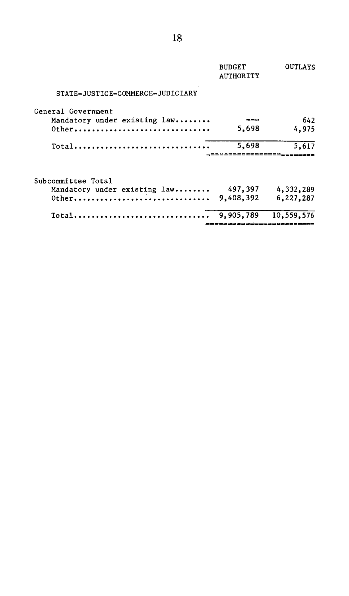|                                  | <b>BUDGET</b><br><b>AUTHORITY</b> | <b>OUTLAYS</b> |
|----------------------------------|-----------------------------------|----------------|
| STATE-JUSTICE-COMMERCE-JUDICIARY |                                   |                |
| General Government               |                                   |                |
| Mandatory under existing law     |                                   | 642            |
| $0$ ther                         | 5,698                             | 4,975          |
| Total                            | 5,698                             | 5,617          |
|                                  |                                   |                |
| Subcommittee Total               |                                   |                |
| Mandatory under existing law     | 497.397                           | 4,332,289      |
| $0$ ther                         | 9,408,392                         | 6,227,287      |
| $Total$                          | 9.905,789                         | 10,559,576     |
|                                  |                                   |                |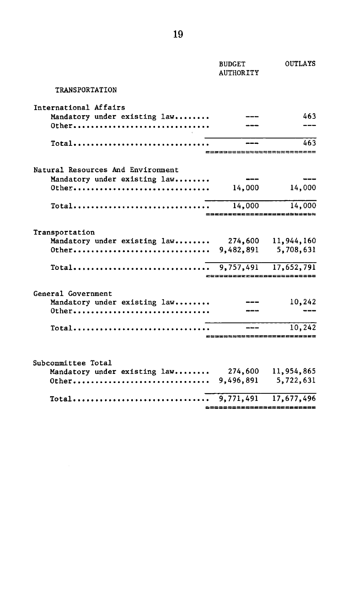|                                                                                 | <b>BUDGET</b><br><b>AUTHORITY</b>   | OUTLAYS   |
|---------------------------------------------------------------------------------|-------------------------------------|-----------|
| <b>TRANSPORTATION</b>                                                           |                                     |           |
| International Affairs                                                           |                                     |           |
| Mandatory under existing law                                                    |                                     | 463       |
| Other                                                                           |                                     |           |
| $\overline{\text{Total}} \dots \dots \dots \dots \dots \dots \dots \dots \dots$ | ==========================          | 463       |
| Natural Resources And Environment                                               |                                     |           |
| Mandatory under existing law                                                    | $---$                               |           |
|                                                                                 | 14,000                              | 14,000    |
| Total                                                                           | 14,000<br>========================= | 14,000    |
| Transportation                                                                  |                                     |           |
| Mandatory under existing law 274,600 11,944,160                                 |                                     |           |
|                                                                                 |                                     |           |
|                                                                                 | 2233333222385585555555955           |           |
| General Government                                                              |                                     |           |
| Mandatory under existing law                                                    |                                     | 10,242    |
| $0$ ther                                                                        |                                     |           |
| $\text{Total} \dots \dots \dots \dots \dots \dots \dots \dots \dots \dots$      |                                     | 10.242    |
|                                                                                 | ==========================          |           |
| Subcommittee Total                                                              |                                     |           |
| Mandatory under existing law 274,600 11,954,865                                 |                                     |           |
|                                                                                 |                                     | 5,722,631 |
|                                                                                 |                                     |           |
| _____________________________                                                   |                                     |           |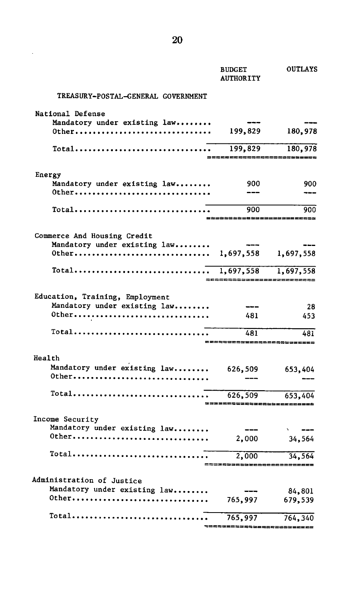|                                           | <b>BUDGET</b><br><b>AUTHORITY</b> | <b>OUTLAYS</b>              |
|-------------------------------------------|-----------------------------------|-----------------------------|
| <b>TREASURY-POSTAL-GENERAL GOVERNMENT</b> |                                   |                             |
| National Defense                          |                                   |                             |
| Mandatory under existing law              |                                   |                             |
| 0ther                                     | 199,829                           | 180,978                     |
| Total                                     | 199,829                           | 180,978<br>===========      |
| Energy                                    |                                   |                             |
| Mandatory under existing law              | 900                               | 900                         |
| 0ther                                     |                                   |                             |
| Total                                     | 900                               | 900                         |
|                                           |                                   |                             |
| Commerce And Housing Credit               |                                   |                             |
| Mandatory under existing law<br>0ther     | 1,697,558                         | 1,697,558                   |
|                                           |                                   |                             |
| Total                                     | 1,697,558                         | 1,697,558                   |
|                                           |                                   |                             |
| Education, Training, Employment           |                                   |                             |
| Mandatory under existing law              |                                   | 28                          |
| 0ther                                     | 481                               | 453                         |
| Total                                     | 481                               | 481<br>==================== |
| Health                                    |                                   |                             |
| Mandatory under existing law              | 626,509                           | 653,404                     |
| 0ther                                     |                                   |                             |
| Total                                     | 626,509                           | 653,404                     |
|                                           | ,2252332552253222223325           |                             |
| Income Security                           |                                   |                             |
| Mandatory under existing law              |                                   |                             |
| 0ther                                     | 2,000                             | 34,564                      |
| Total                                     | 2,000                             | 34,564                      |
|                                           |                                   |                             |
| Administration of Justice                 |                                   |                             |
| Mandatory under existing law<br>0ther     |                                   | 84,801                      |
|                                           | 765,997                           | 679,539                     |
| Total                                     | 765,997                           | 764,340                     |

| 8422888#22222

20

 $\hat{\boldsymbol{\beta}}$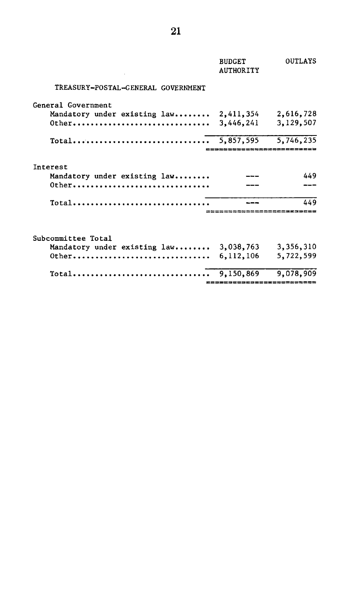|                                          | <b>BUDGET</b><br><b>AUTHORITY</b> | <b>OUTLAYS</b> |
|------------------------------------------|-----------------------------------|----------------|
| TREASURY-POSTAL-GENERAL GOVERNMENT       |                                   |                |
| General Government                       |                                   |                |
| Mandatory under existing law             | 2,411,354                         | 2,616,728      |
| $0$ <sup>t</sup> her                     | 3,446,241                         | 3,129,507      |
|                                          |                                   |                |
| Interest<br>Mandatory under existing law |                                   | 449            |
|                                          |                                   |                |
| Total                                    |                                   | 449            |
|                                          |                                   |                |
| Subcommittee Total                       |                                   |                |
| Mandatory under existing law 3,038,763   |                                   | 3,356,310      |
| $Other$                                  | 6, 112, 106                       | 5,722,599      |
| $Total$                                  | 9,150,869                         | 9,078,909      |
|                                          | ;======================           |                |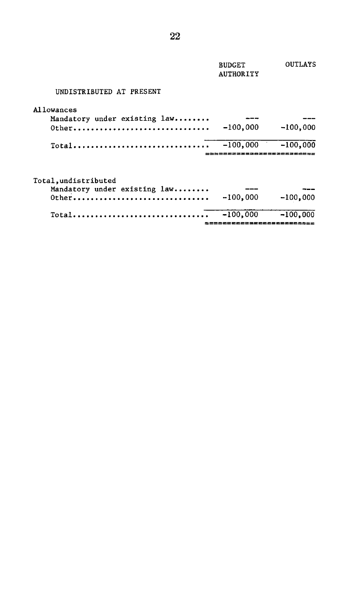|                              | <b>BUDGET</b><br><b>AUTHORITY</b> | <b>OUTLAYS</b> |
|------------------------------|-----------------------------------|----------------|
| UNDISTRIBUTED AT PRESENT     |                                   |                |
| <b>Allowances</b>            |                                   |                |
| Mandatory under existing law |                                   |                |
| $0$ ther                     | $-100,000$                        | $-100,000$     |
| $Total$                      | $-100,000$                        | $-100,000$     |
|                              |                                   |                |
| Total, undistributed         |                                   |                |
| Mandatory under existing law |                                   |                |
| $0$ ther                     | $-100,000$                        | $-100.000$     |
| Total                        | $-100,000$                        | $-100,000$     |
|                              |                                   |                |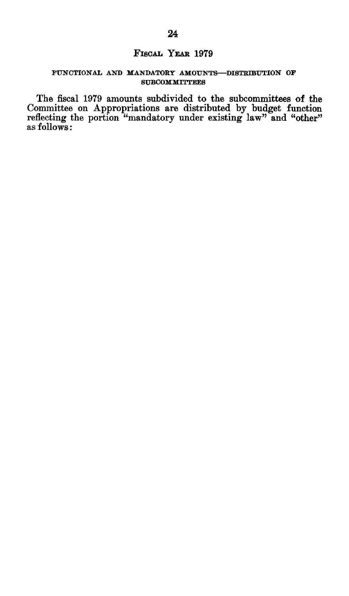### FISCAL **YEAR 1979**

#### **FUNCTIONAL AND MANDATORY AMOUNTS-DISTRIBUTION OF SUBCOMMITTEES**

The fiscal **1979** amounts subdivided to the subcommittees of the Committee on Appropriations are distributed **by** budget function reflecting the portion "mandatory under existing law" and "other" as follows: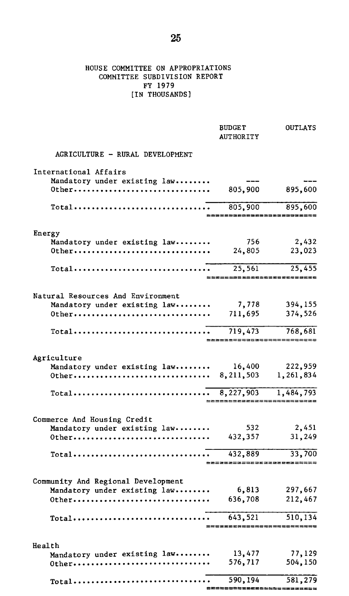#### HOUSE COMMITTEE ON APPROPRIATIONS COMMITTEE SUBDIVISION REPORT FY 1979 [IN THOUSANDS]

|                                                                                 | <b>BUDGET</b><br><b>AUTHORITY</b> | <b>OUTLAYS</b>        |
|---------------------------------------------------------------------------------|-----------------------------------|-----------------------|
| AGRICULTURE - RURAL DEVELOPMENT                                                 |                                   |                       |
| International Affairs                                                           |                                   |                       |
| Mandatory under existing law                                                    | ---                               |                       |
| 0ther                                                                           | 805,900                           | 895,600               |
| $Total \dots \dots \dots \dots \dots \dots \dots \dots \dots \dots \dots \dots$ | 805,900                           | 895,600               |
|                                                                                 |                                   |                       |
| Energy                                                                          |                                   |                       |
| Mandatory under existing law                                                    | 756<br>24,805                     | 2,432                 |
| 0ther                                                                           |                                   | 23,023                |
|                                                                                 | 25,561                            | 25,455<br>=========== |
|                                                                                 |                                   |                       |
| Natural Resources And Environment                                               |                                   |                       |
| Mandatory under existing law                                                    | 7,778                             | 394,155               |
| 0ther                                                                           | 711,695                           | 374,526               |
| $\text{Total} \dots \dots \dots \dots \dots \dots \dots \dots \dots \dots$      | 719,473                           | 768,681               |
|                                                                                 |                                   |                       |
| Agriculture                                                                     |                                   |                       |
| Mandatory under existing law                                                    | 16,400                            | 222,959               |
|                                                                                 |                                   | 1,261,834             |
|                                                                                 |                                   | 1,484,793             |
|                                                                                 |                                   |                       |
| Commerce And Housing Credit                                                     |                                   |                       |
| Mandatory under existing law                                                    | 532                               | 2,451                 |
| 0ther                                                                           | 432,357                           | 31,249                |
| $Total \dots \dots \dots \dots \dots \dots \dots \dots \dots \dots \dots$       | 432,889                           | 33,700                |
|                                                                                 |                                   |                       |
| Community And Regional Development                                              |                                   |                       |
| Mandatory under existing law                                                    | 6,813                             | 297,667               |
| 0ther                                                                           | 636,708                           | 212,467               |
|                                                                                 | 643,521                           | 510,134               |
|                                                                                 |                                   | ============          |
| Health                                                                          |                                   |                       |
| Mandatory under existing law                                                    | 13,477                            | 77,129                |
| 0ther                                                                           | 576,717                           | 504,150               |
| $Total \dots \dots \dots \dots \dots \dots \dots \dots \dots \dots \dots$       | 590,194                           | 581,279               |
|                                                                                 | ***********************           |                       |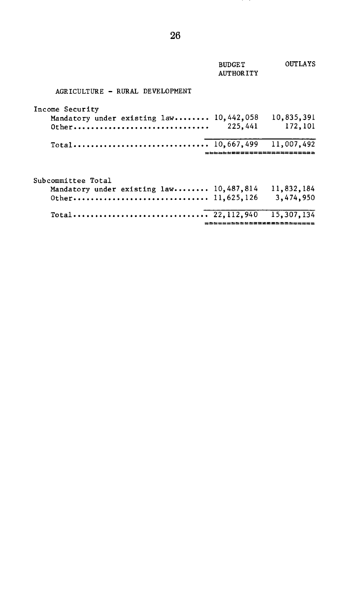|                                                                                   | <b>BUDGET</b><br><b>AUTHORITY</b> | OUTLAYS                               |
|-----------------------------------------------------------------------------------|-----------------------------------|---------------------------------------|
| AGRICULTURE - RURAL DEVELOPMENT                                                   |                                   |                                       |
| Income Security<br>Mandatory under existing law 10,442,058<br>$0$ ther            | 225.441                           | 10,835,391<br>172,101                 |
|                                                                                   |                                   | 11,007,492                            |
| Subcommittee Total<br>Mandatory under existing law 10,487,814<br>0ther 11,625,126 |                                   | 11,832,184<br>3,474,950               |
|                                                                                   |                                   | 15,307,134<br>======================= |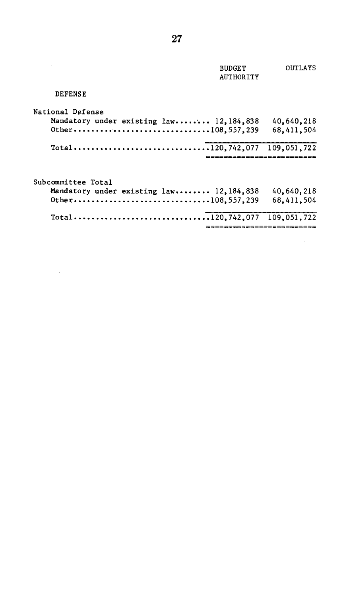|                                           | <b>BUDGET</b><br><b>AUTHORITY</b> | OUTLAYS    |
|-------------------------------------------|-----------------------------------|------------|
| <b>DEFENSE</b>                            |                                   |            |
| <b>National Defense</b>                   |                                   |            |
| Mandatory under existing law 12,184,838   |                                   | 40,640,218 |
|                                           |                                   | 68.411.504 |
| Total120,742,077 109,051,722              | ==========================        |            |
|                                           |                                   |            |
| Subcommittee Total                        |                                   |            |
| Mandatory under existing law 12, 184, 838 |                                   | 40,640,218 |
|                                           |                                   | 68,411,504 |
|                                           |                                   |            |
|                                           |                                   |            |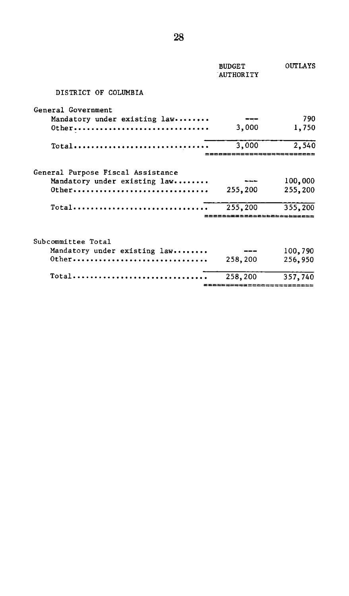|                                                          | <b>BUDGET</b><br>AUTHORITY | OUTLAYS |
|----------------------------------------------------------|----------------------------|---------|
| DISTRICT OF COLUMBIA                                     |                            |         |
| General Government                                       |                            |         |
| Mandatory under existing law                             |                            | 790     |
| 0ther                                                    | 3,000                      | 1,750   |
| Total                                                    | 3,000                      | 2,540   |
| General Purpose Fiscal Assistance                        |                            |         |
| Mandatory under existing law                             |                            | 100,000 |
| $0$ ther                                                 | 255,200                    | 255,200 |
| Total                                                    | 255,200                    | 355.200 |
|                                                          | .===============           |         |
| Subcommittee Total                                       |                            |         |
| Mandatory under existing law                             |                            | 100,790 |
| 0ther                                                    | 258,200                    | 256,950 |
| $Total \ldots \ldots \ldots \ldots \ldots \ldots \ldots$ | 258,200                    | 357,740 |
|                                                          |                            |         |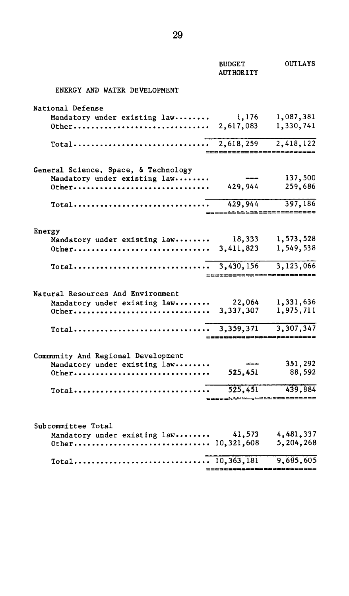|                                                                                  | <b>BUDGET</b><br><b>AUTHORITY</b> | <b>OUTLAYS</b>             |
|----------------------------------------------------------------------------------|-----------------------------------|----------------------------|
| ENERGY AND WATER DEVELOPMENT                                                     |                                   |                            |
| National Defense                                                                 |                                   |                            |
| Mandatory under existing law 1,176                                               |                                   | 1,087,381                  |
|                                                                                  |                                   | 1,330,741                  |
|                                                                                  |                                   | 2,418,122                  |
|                                                                                  | =========================         |                            |
| General Science, Space, & Technology                                             |                                   |                            |
| Mandatory under existing law                                                     | $---$                             | 137,500                    |
|                                                                                  |                                   |                            |
|                                                                                  |                                   |                            |
| $\text{Total} \dots \dots \dots \dots \dots \dots \dots \dots \dots \dots \dots$ |                                   | 429,944 397,186            |
|                                                                                  |                                   | -600022222333335555832     |
| Energy                                                                           |                                   |                            |
| Mandatory under existing law 18,333                                              |                                   | 1,573,528                  |
|                                                                                  |                                   | 1,549,538                  |
|                                                                                  |                                   | 3,123,066                  |
|                                                                                  | =========================         |                            |
| Natural Resources And Environment                                                |                                   |                            |
| Mandatory under existing law 22,064                                              |                                   | 1,331,636                  |
|                                                                                  |                                   | 1,975,711                  |
|                                                                                  |                                   | 3.307.347                  |
|                                                                                  |                                   |                            |
| Community And Regional Development                                               |                                   |                            |
| Mandatory under existing law                                                     | and services of                   | 351,292                    |
| 0ther                                                                            | 525,451                           | 88,592                     |
|                                                                                  |                                   |                            |
|                                                                                  |                                   | tarsass=================== |
|                                                                                  |                                   |                            |
|                                                                                  |                                   |                            |
| Subcommittee Total                                                               |                                   | 4,481,337                  |
| Mandatory under existing law 41,573                                              |                                   | 5,204,268                  |
|                                                                                  |                                   |                            |
|                                                                                  |                                   | 9,685,605                  |
|                                                                                  | ==================                |                            |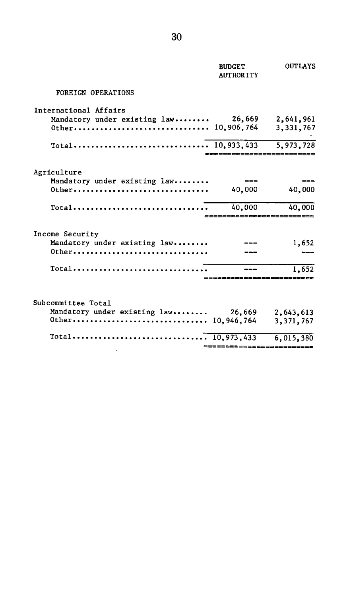|                                                                     | <b>BUDGET</b><br><b>AUTHORITY</b> | <b>OUTLAYS</b>         |
|---------------------------------------------------------------------|-----------------------------------|------------------------|
| <b>FOREIGN OPERATIONS</b>                                           |                                   |                        |
| International Affairs                                               |                                   |                        |
| Mandatory under existing law 26,669<br>Other 10,906,764             |                                   | 2,641,961<br>3.331,767 |
|                                                                     | ================                  |                        |
| Agriculture                                                         |                                   |                        |
| Mandatory under existing law<br>0ther                               | 40,000                            | 40,000                 |
| $Total \dots \dots \dots \dots \dots \dots \dots \dots \dots \dots$ | 40.000                            | 40,000                 |
| Income Security                                                     |                                   |                        |
| Mandatory under existing law                                        |                                   | 1,652                  |
| 0ther                                                               |                                   |                        |
|                                                                     | . 2225555222553333                | 1.652                  |
|                                                                     |                                   |                        |
| Subcommittee Total                                                  |                                   |                        |
| Mandatory under existing law 26,669                                 |                                   | 2,643,613<br>3,371,767 |
|                                                                     |                                   | 6,015,380              |
|                                                                     | =========================         |                        |

 $\overline{\phantom{a}}$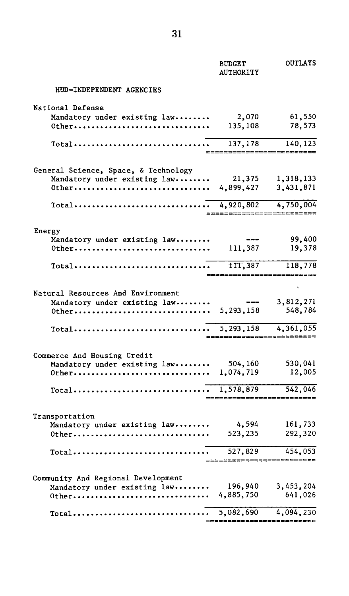|                                                                                 | <b>BUDGET</b><br><b>AUTHORITY</b>     | <b>OUTLAYS</b>                          |
|---------------------------------------------------------------------------------|---------------------------------------|-----------------------------------------|
| HUD-INDEPENDENT AGENCIES                                                        |                                       |                                         |
| National Defense                                                                |                                       |                                         |
| Mandatory under existing law                                                    | 2,070                                 | 61,550                                  |
| 0ther                                                                           | 135,108                               | 78,573                                  |
| Total                                                                           | 137,178                               | 140,123                                 |
|                                                                                 |                                       | $= 2222222$                             |
| General Science, Space, & Technology                                            |                                       |                                         |
| Mandatory under existing law                                                    | 21,375                                | 1,318,133                               |
| Other 4,899,427                                                                 |                                       | 3,431,871                               |
| $Total \dots \dots \dots \dots \dots \dots \dots \dots \dots \dots \dots$       | 4,920,802                             | 4,750,004<br>========================== |
|                                                                                 |                                       |                                         |
| Energy                                                                          |                                       |                                         |
| Mandatory under existing law                                                    | ---                                   | 99,400                                  |
| Other                                                                           | 111,387                               | 19,378                                  |
| Total                                                                           | 111,387<br>========================== | 118,778                                 |
|                                                                                 |                                       |                                         |
| Natural Resources And Environment                                               |                                       |                                         |
| Mandatory under existing law                                                    | ---                                   | 3,812,271                               |
| 0ther 5,293,158                                                                 |                                       | 548,784                                 |
| $Total \dots \dots \dots \dots \dots \dots \dots \dots \dots \dots \dots \dots$ | 5, 293, 158                           | 4,361,055                               |
|                                                                                 |                                       | ____________________________            |
| Commerce And Housing Credit                                                     |                                       |                                         |
| Mandatory under existing law                                                    | 504,160                               | 530,041                                 |
|                                                                                 |                                       | 12,005                                  |
| $Total \dots \dots \dots \dots \dots \dots \dots \dots \dots \dots \dots$       | 1,578,879<br>=============            | 542,046<br>-----                        |
|                                                                                 |                                       |                                         |
| Transportation                                                                  |                                       |                                         |
| Mandatory under existing law                                                    | 4,594                                 | 161,733                                 |
| 0ther                                                                           | 523,235                               | 292,320                                 |
| Total                                                                           | 527,829                               | 454,053<br>=====                        |
|                                                                                 |                                       |                                         |
| Community And Regional Development                                              |                                       |                                         |
| Mandatory under existing law                                                    | 196,940<br>4,885,750                  | 3,453,204<br>641,026                    |
| 0ther                                                                           |                                       |                                         |
| $Total \ldots \ldots \ldots \ldots \ldots \ldots \ldots \ldots$                 | 5,082,690                             | 4,094,230<br>.2202===================== |
|                                                                                 |                                       |                                         |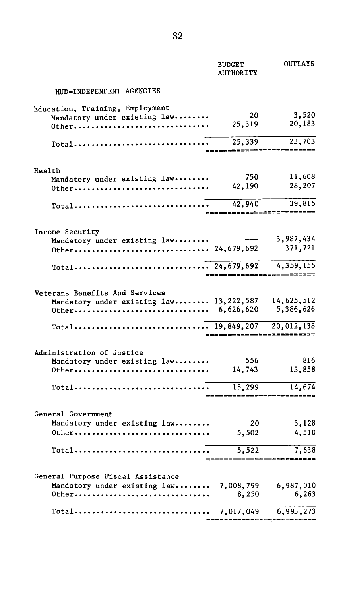|                                                                                      | <b>BUDGET</b><br><b>AUTHORITY</b>               | <b>OUTLAYS</b>          |
|--------------------------------------------------------------------------------------|-------------------------------------------------|-------------------------|
| HUD-INDEPENDENT AGENCIES                                                             |                                                 |                         |
| Education, Training, Employment<br>Mandatory under existing law<br>0ther             | 20<br>25,319                                    | 3,520<br>20,183         |
| $Total \dots \dots \dots \dots \dots \dots \dots \dots \dots \dots$                  | 25,339<br>-------------------------             | 23,703                  |
|                                                                                      |                                                 |                         |
| Health<br>Mandatory under existing law<br>0ther                                      | 750<br>42,190                                   | 11,608<br>28,207        |
|                                                                                      | 42,940<br>___________________________           | 39,815                  |
| Income Security                                                                      |                                                 |                         |
| Mandatory under existing law                                                         |                                                 | 3,987,434<br>371,721    |
|                                                                                      | --------------------------                      | 4,359,155               |
| Veterans Benefits And Services<br>Mandatory under existing law 13,222,587            |                                                 | 14,625,512<br>5,386,626 |
|                                                                                      | ------------                                    | 20,012,138<br>.ceacess= |
| Administration of Justice<br>Mandatory under existing law                            | 556                                             | 816                     |
| 0ther                                                                                | 14,743                                          | 13,858                  |
| $Total \dots \dots \dots \dots \dots \dots \dots \dots \dots \dots \dots$            | 15,299                                          | 14,674                  |
| General Government<br>Mandatory under existing law                                   | 20                                              | 3.128                   |
| 0ther                                                                                | 5,502                                           | 4,510                   |
| Total                                                                                | $\overline{5,522}$<br>------------------------- | 7,638                   |
| General Purpose Fiscal Assistance<br>Mandatory under existing law 7,008,799<br>0ther | 8,250                                           | 6,987,010<br>6,263      |
|                                                                                      |                                                 | 6,993,273               |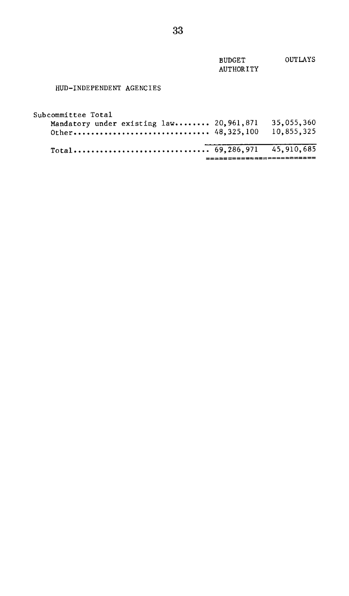| <b>BUDGET</b> | OUTLAYS |
|---------------|---------|
| AUTHORITY     |         |
|               |         |
|               |         |

### HUD-INDEPENDENT AGENCIES

| Subcommittee Total<br>Mandatory under existing law 20, 961, 871<br>Other 48,325,100 | 35.055.360<br>10.855.325 |
|-------------------------------------------------------------------------------------|--------------------------|
|                                                                                     |                          |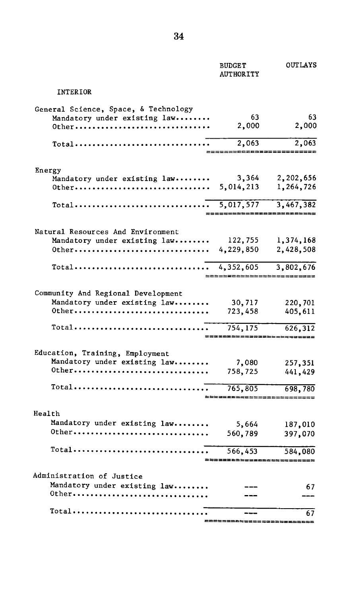|                                                                               | <b>BUDGET</b><br><b>AUTHORITY</b> | OUTLAYS                                 |
|-------------------------------------------------------------------------------|-----------------------------------|-----------------------------------------|
| INTERIOR                                                                      |                                   |                                         |
| General Science, Space, & Technology<br>Mandatory under existing law<br>0ther | 63<br>2,000                       | 63<br>2,000                             |
| Total                                                                         | 2,063                             | 2,063                                   |
|                                                                               |                                   |                                         |
| Energy<br>Mandatory under existing law<br>0ther                               | 3,364<br>5,014,213                | 2,202,656<br>1,264,726                  |
| Total                                                                         | 5,017,577                         | 3,467,382<br>,,,,,,,,,,,,,,,,,,,,,,,,,, |
| Natural Resources And Environment                                             |                                   |                                         |
| Mandatory under existing law<br>0ther                                         | 122,755<br>4,229,850              | 1,374,168<br>2,428,508                  |
| Total                                                                         | 4,352,605                         | 3,802,676                               |
| Community And Regional Development                                            |                                   |                                         |
| Mandatory under existing law<br>0ther                                         | 30,717<br>723,458                 | 220,701<br>405,611                      |
| Total                                                                         | 754,175                           | 626,312<br>---------                    |
| Education, Training, Employment                                               |                                   |                                         |
| Mandatory under existing law<br>0ther                                         | 7,080<br>758,725                  | 257,351<br>441,429                      |
| Total                                                                         | 765,805                           | 698,780                                 |
| Health                                                                        |                                   |                                         |
| Mandatory under existing law                                                  | 5,664                             | 187,010                                 |
| 0ther                                                                         | 560,789                           | 397,070                                 |
| Total                                                                         | 566,453<br>---------------        | 584,080<br>----------                   |
| Administration of Justice                                                     |                                   |                                         |
| Mandatory under existing law<br>0ther                                         |                                   | 67                                      |
| <b>Total</b>                                                                  |                                   | 67                                      |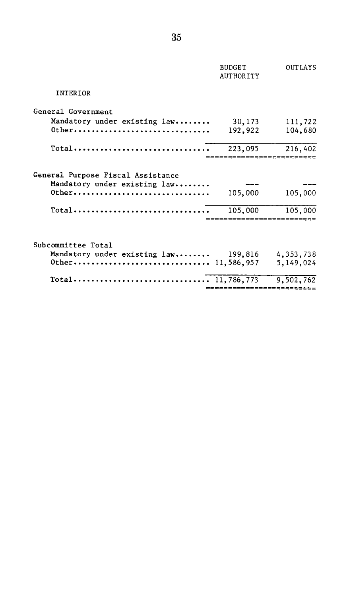|                                          | <b>BUDGET</b><br><b>AUTHORITY</b>  | OUTLAYS                  |
|------------------------------------------|------------------------------------|--------------------------|
| <b>INTER TOR</b>                         |                                    |                          |
| General Government                       |                                    |                          |
| Mandatory under existing law             | 30,173                             | 111,722                  |
|                                          | 192,922                            | 104,680                  |
| Total                                    | 223,095                            | 216,402                  |
| General Purpose Fiscal Assistance        |                                    |                          |
| Mandatory under existing law<br>$0$ ther | 105,000                            | 105,000                  |
| Total                                    | 105,000                            | 105,000<br>------------- |
| Subcommittee Total                       |                                    |                          |
| Mandatory under existing law 199,816     |                                    | 4,353,738                |
|                                          |                                    | 5,149,024                |
| Total                                    | 11,786,773<br>==================== | 9,502,762                |
|                                          |                                    |                          |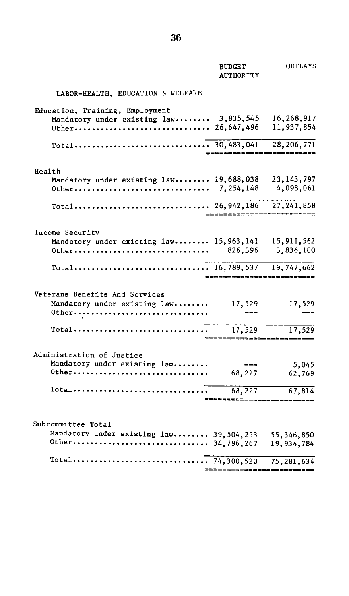|                                                                           | <b>BUDGET</b><br><b>AUTHORITY</b> | OUTLAYS                    |
|---------------------------------------------------------------------------|-----------------------------------|----------------------------|
| LABOR-HEALTH, EDUCATION & WELFARE                                         |                                   |                            |
| Education, Training, Employment<br>Mandatory under existing law 3,835,545 |                                   | 16,268,917<br>11,937,854   |
|                                                                           | -----------------------           |                            |
| Health                                                                    |                                   |                            |
| Mandatory under existing law 19,688,038<br>0ther                          | 7, 254, 148                       | 23, 143, 797<br>4,098,061  |
|                                                                           | ==========================        | 27, 241, 858               |
| Income Security                                                           |                                   |                            |
| Mandatory under existing law 15,963,141 15,911,562<br>0ther               | 826,396                           | 3,836,100                  |
|                                                                           | ---------------------------       |                            |
| Veterans Benefits And Services<br>Mandatory under existing law<br>0ther   | 17,529                            | 17,529                     |
|                                                                           | 17,529<br>=====================   | 17,529                     |
| Administration of Justice<br>Mandatory under existing law<br>0ther        | 68,227                            | 5,045<br>62,769            |
| Total                                                                     | 68.227                            | 67,814                     |
| Subcommittee Total                                                        |                                   |                            |
| Mandatory under existing law 39,504,253                                   |                                   | 55, 346, 850<br>19,934,784 |
| Total                                                                     | 74.300.520                        | 75.281.634                 |

. 74,300,520 75,281,634<br>=========================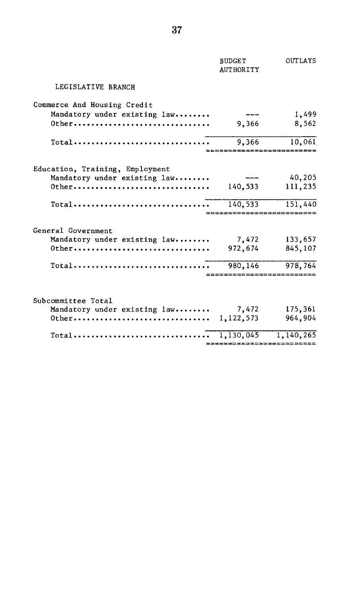|                                                                           | <b>BUDGET</b><br><b>AUTHORITY</b> | OUTLAYS |
|---------------------------------------------------------------------------|-----------------------------------|---------|
| LEGISLATIVE BRANCH                                                        |                                   |         |
| Commerce And Housing Credit                                               |                                   |         |
| Mandatory under existing law                                              |                                   | 1,499   |
| Other                                                                     | 9,366                             | 8,562   |
| $Total \dots \dots \dots \dots \dots \dots \dots \dots \dots \dots$       | 9,366                             | 10,061  |
| Education, Training, Employment                                           |                                   |         |
| Mandatory under existing law                                              |                                   | 40,205  |
| 0ther                                                                     | 140,533                           | 111,235 |
| $Total \dots \dots \dots \dots \dots \dots \dots \dots \dots \dots \dots$ | 140,533                           | 151,440 |
|                                                                           |                                   |         |
| General Government                                                        |                                   |         |
| Mandatory under existing $law$ 7,472 133,657                              |                                   |         |
| Other                                                                     | 972,674                           | 845,107 |
| $Total \dots \dots \dots \dots \dots \dots \dots \dots \dots \dots \dots$ | 980,146                           | 978,764 |
|                                                                           | ___________________               |         |
| Subcommittee Total                                                        |                                   |         |
| Mandatory under existing $law$ 7,472 175,361                              |                                   |         |
|                                                                           |                                   | 964,904 |
|                                                                           |                                   |         |
|                                                                           | ==========================        |         |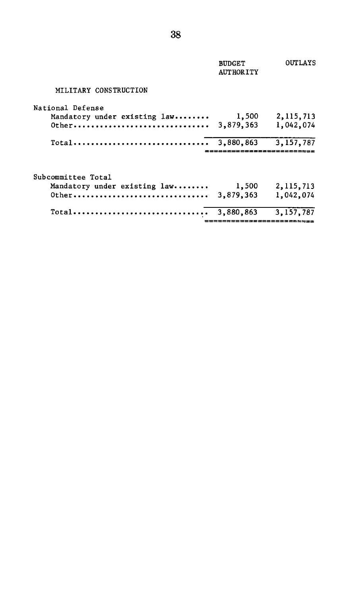|                                          | <b>BUDGET</b><br><b>AUTHORITY</b> | <b>OUTLAYS</b>           |
|------------------------------------------|-----------------------------------|--------------------------|
| MILITARY CONSTRUCTION                    |                                   |                          |
| National Defense                         |                                   |                          |
| Mandatory under existing law<br>$0$ ther | 1,500<br>3,879,363                | 2, 115, 713<br>1,042,074 |
| Total                                    | 3,880,863                         | 3,157,787                |
| Subcommittee Total                       |                                   |                          |
| Mandatory under existing law             | 1,500                             | 2, 115, 713              |
| $0$ ther                                 | 3,879,363                         | 1,042,074                |
| $Total$                                  | 3,880,863                         | 3.157.787                |
|                                          |                                   | ;;;;;;;;;;;;;;;;;;;;;;;; |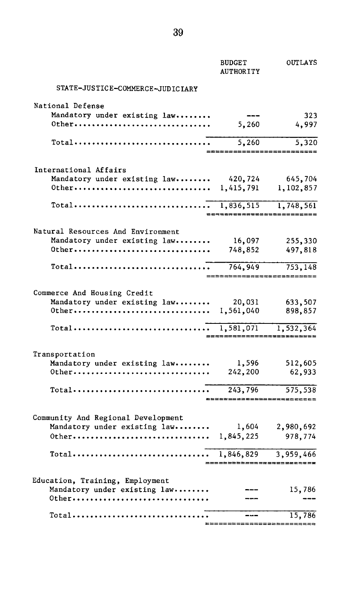|                                                                        | <b>BUDGET</b><br><b>AUTHORITY</b> | OUTLAYS                               |
|------------------------------------------------------------------------|-----------------------------------|---------------------------------------|
| STATE-JUSTICE-COMMERCE-JUDICIARY                                       |                                   |                                       |
| National Defense                                                       |                                   |                                       |
| Mandatory under existing law                                           |                                   | 323                                   |
| 0ther                                                                  | 5,260                             | 4,997                                 |
|                                                                        |                                   |                                       |
| Total                                                                  | 5,260                             | 5,320<br>$=$ $=$ $=$ $=$ $=$          |
| International Affairs                                                  |                                   |                                       |
| Mandatory under existing law 420,724                                   |                                   | 645,704                               |
|                                                                        |                                   | 1,102,857                             |
|                                                                        |                                   |                                       |
| Total                                                                  | 1,836,515                         | 1,748,561                             |
|                                                                        | 22552888885225555;                |                                       |
| Natural Resources And Environment                                      |                                   |                                       |
| Mandatory under existing law                                           | 16,097                            | 255,330                               |
| 0ther                                                                  | 748,852                           | 497,818                               |
| Total                                                                  | 764,949                           | 753,148                               |
|                                                                        |                                   | ==========================            |
| Commerce And Housing Credit                                            |                                   |                                       |
| Mandatory under existing law                                           | 20,031                            | 633,507                               |
|                                                                        |                                   | 898,857                               |
| $Total \ldots \ldots \ldots \ldots \ldots \ldots \ldots \ldots \ldots$ | 1,581,071                         | 1,532,364                             |
|                                                                        |                                   |                                       |
| Transportation                                                         |                                   |                                       |
| Mandatory under existing law                                           | 1,596                             | 512,605                               |
| 0ther                                                                  | 242,200                           | 62,933                                |
| Total                                                                  | 243,796                           | 575,538                               |
|                                                                        |                                   |                                       |
| Community And Regional Development                                     |                                   |                                       |
| Mandatory under existing law                                           | 1,604                             | 2,980,692                             |
| 0ther                                                                  | 1,845,225                         | 978,774                               |
|                                                                        |                                   |                                       |
| Total                                                                  | 1,846,829                         | 3,959,466<br>------------------------ |
| Education, Training, Employment                                        |                                   |                                       |
| Mandatory under existing law                                           |                                   | 15,786                                |
| 0ther                                                                  |                                   |                                       |
|                                                                        |                                   | 15,786                                |
|                                                                        |                                   |                                       |

=====================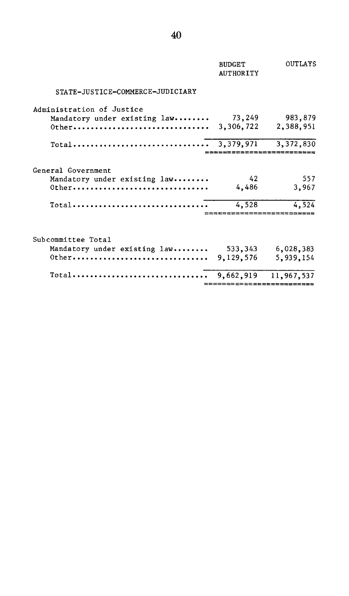| <b>BUDGET</b><br><b>AUTHORITY</b> | OUTLAYS                 |
|-----------------------------------|-------------------------|
|                                   |                         |
| 73,249<br>3,306,722               | 983,879<br>2,388,951    |
| 3,379,971                         | 3,372,830               |
| 42<br>4,486                       | 557<br>3,967            |
| 4,528                             | 4.524                   |
| 533,343                           | 6,028,383               |
| 9,662,919                         | 5,939,154<br>11,967,537 |
|                                   | Total<br>9,129,576      |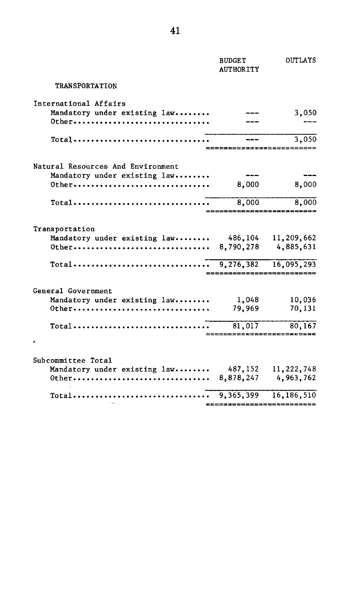|                                                                                                                                             | <b>BUDGET</b><br><b>AUTHORITY</b>   | <b>OUTLAYS</b>                                                       |
|---------------------------------------------------------------------------------------------------------------------------------------------|-------------------------------------|----------------------------------------------------------------------|
| <b>TRANSPORTATION</b>                                                                                                                       |                                     |                                                                      |
| International Affairs<br>Mandatory under existing law<br>0ther                                                                              |                                     | 3,050                                                                |
| $Total \cdots \cdots \cdots \cdots \cdots \cdots \cdots \cdots \cdots \cdots$                                                               | =============                       | 3,050                                                                |
| Natural Resources And Environment<br>Mandatory under existing law<br>$0$ ther                                                               | 8,000                               | 8,000                                                                |
| Total                                                                                                                                       | 8,000                               | 8,000<br>------------------------                                    |
| Transportation<br>Mandatory under existing law<br>0ther<br>$\text{Total} \dots \dots \dots \dots \dots \dots \dots \dots \dots$             | 486,104<br>8,790,278                | 11,209,662<br>4,885,631<br>9,276,382 16,095,293<br>================= |
| General Government<br>Mandatory under existing law<br>Other<br>Total                                                                        | 1,048<br>79.969<br>81,017           | 10,036<br>70,131<br>80,167<br>------------------------               |
| Subcommittee Total<br>Mandatory under existing law<br>$0$ ther<br>$Total \dots \dots \dots \dots \dots \dots \dots \dots \dots \dots \dots$ | 487,152<br>________________________ | 11, 222, 748<br>8,878,247 4,963,762<br>9, 365, 399 16, 186, 510      |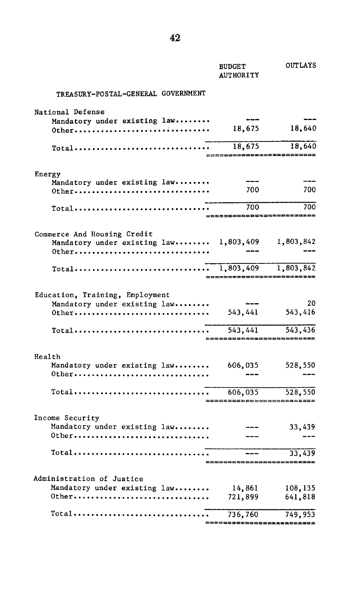|                                                                           | <b>BUDGET</b><br><b>AUTHORITY</b>         | <b>OUTLAYS</b> |
|---------------------------------------------------------------------------|-------------------------------------------|----------------|
| TREASURY-POSTAL-GENERAL GOVERNMENT                                        |                                           |                |
| National Defense                                                          |                                           |                |
| Mandatory under existing law<br>0ther                                     | 18,675                                    | 18,640         |
| Total                                                                     | 18,675                                    | 18,640         |
|                                                                           |                                           |                |
| Energy                                                                    |                                           |                |
| Mandatory under existing law<br>0ther                                     | 700                                       | 700            |
|                                                                           | 700                                       | 700            |
|                                                                           | ----------                                | eezzzzes       |
| Commerce And Housing Credit                                               |                                           |                |
| Mandatory under existing law 1,803,409 1,803,842                          |                                           |                |
| Other                                                                     |                                           |                |
| $Total \dots \dots \dots \dots \dots \dots \dots \dots \dots \dots \dots$ | 1,803,409<br>____________________________ | 1,803,842      |
|                                                                           |                                           |                |
| Education, Training, Employment                                           |                                           | 20             |
| Mandatory under existing law<br>0ther                                     | 543,441                                   | 543,416        |
| Total                                                                     | 543, 441                                  | 543,436        |
|                                                                           | ==========================                |                |
| Health                                                                    |                                           |                |
| Mandatory under existing law                                              | 606,035                                   | 528,550        |
| 0ther                                                                     |                                           |                |
| Total                                                                     | 606,035                                   | 528,550        |
|                                                                           |                                           |                |
| Income Security                                                           |                                           |                |
| Mandatory under existing law<br>0ther                                     |                                           | 33,439         |
|                                                                           |                                           |                |
| Total <del>.</del>                                                        |                                           | 33,439         |
|                                                                           |                                           |                |
| Administration of Justice<br>Mandatory under existing law                 | 14,861                                    | 108,135        |
| 0ther                                                                     | 721,899                                   | 641,818        |
| Total                                                                     | 736,760                                   | 749,953        |
|                                                                           |                                           |                |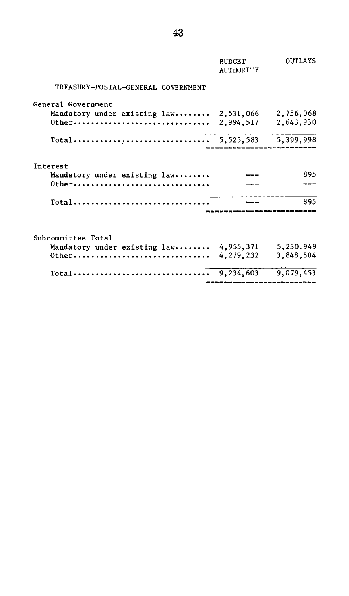|                                        | <b>BUDGET</b><br><b>AUTHORITY</b> | <b>OUTLAYS</b> |
|----------------------------------------|-----------------------------------|----------------|
| TREASURY-POSTAL-GENERAL GOVERNMENT     |                                   |                |
| General Government                     |                                   |                |
| Mandatory under existing law 2,531,066 |                                   | 2,756,068      |
| $0$ ther                               | 2.994.517                         | 2,643,930      |
|                                        |                                   |                |
|                                        |                                   |                |
| Interest                               |                                   |                |
| Mandatory under existing law           |                                   | 895            |
| $0$ <sup>t</sup> her                   |                                   |                |
| Total                                  |                                   | 895            |
|                                        |                                   |                |
| Subcommittee Total                     |                                   |                |
| Mandatory under existing law           | 4,955,371                         | 5,230,949      |
| $0$ ther                               | 4,279,232                         | 3,848,504      |
| $Total$                                | 9,234,603                         | 9.079.453      |
|                                        |                                   | ============== |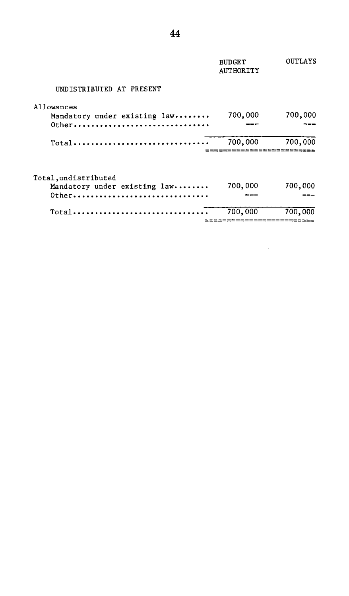|                                                                  | <b>BUDGET</b><br><b>AUTHORITY</b> | <b>OUTLAYS</b>                 |
|------------------------------------------------------------------|-----------------------------------|--------------------------------|
| UNDISTRIBUTED AT PRESENT                                         |                                   |                                |
| Allowances<br>Mandatory under existing law<br>0ther              | 700,000                           | 700,000                        |
| Total                                                            | 700,000                           | 700,000                        |
| Total, undistributed<br>Mandatory under existing law<br>$0$ ther | 700,000                           | 700,000                        |
| Total                                                            | 700,000                           | 700,000<br>=================== |